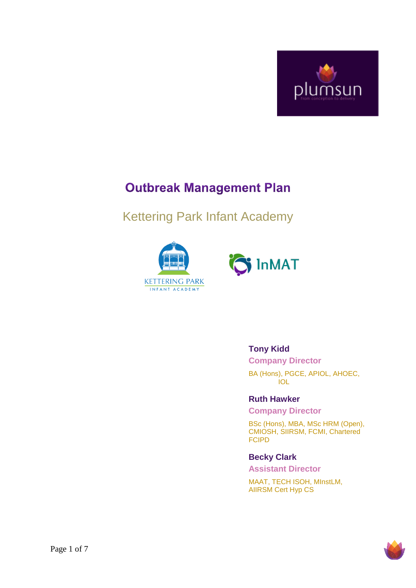

# **Outbreak Management Plan**

# Kettering Park Infant Academy





### **Tony Kidd**

**Company Director** BA (Hons), PGCE, APIOL, AHOEC, IOL

**Ruth Hawker**

**Company Director**

BSc (Hons), MBA, MSc HRM (Open), CMIOSH, SIIRSM, FCMI, Chartered FCIPD

#### **Becky Clark**

**Assistant Director**

MAAT, TECH ISOH, MInstLM, AIIRSM Cert Hyp CS

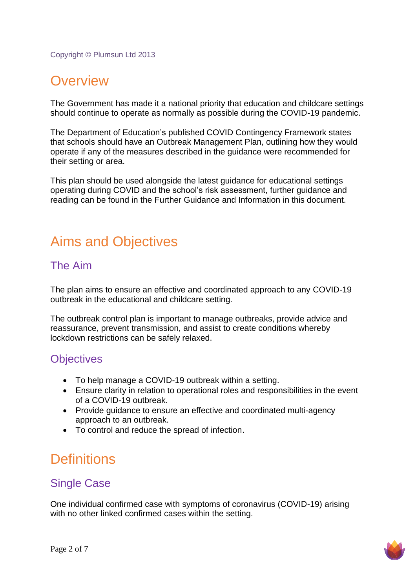Copyright © Plumsun Ltd 2013

# **Overview**

The Government has made it a national priority that education and childcare settings should continue to operate as normally as possible during the COVID-19 pandemic.

The Department of Education's published COVID Contingency Framework states that schools should have an Outbreak Management Plan, outlining how they would operate if any of the measures described in the guidance were recommended for their setting or area.

This plan should be used alongside the latest guidance for educational settings operating during COVID and the school's risk assessment, further guidance and reading can be found in the Further Guidance and Information in this document.

# Aims and Objectives

### The Aim

The plan aims to ensure an effective and coordinated approach to any COVID-19 outbreak in the educational and childcare setting.

The outbreak control plan is important to manage outbreaks, provide advice and reassurance, prevent transmission, and assist to create conditions whereby lockdown restrictions can be safely relaxed.

## **Objectives**

- To help manage a COVID-19 outbreak within a setting.
- Ensure clarity in relation to operational roles and responsibilities in the event of a COVID-19 outbreak.
- Provide guidance to ensure an effective and coordinated multi-agency approach to an outbreak.
- To control and reduce the spread of infection.

# **Definitions**

## Single Case

One individual confirmed case with symptoms of coronavirus (COVID-19) arising with no other linked confirmed cases within the setting.

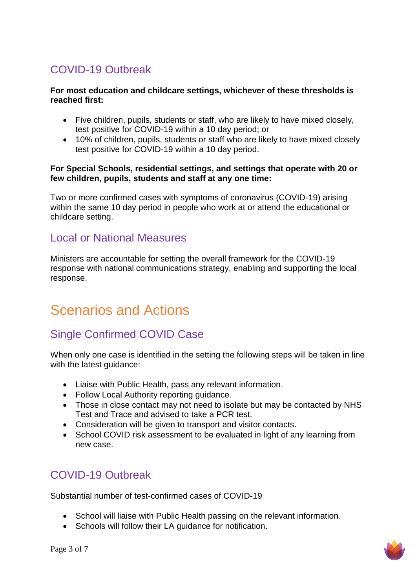## COVID-19 Outbreak

#### **For most education and childcare settings, whichever of these thresholds is reached first:**

- Five children, pupils, students or staff, who are likely to have mixed closely, test positive for COVID-19 within a 10 day period; or
- 10% of children, pupils, students or staff who are likely to have mixed closely test positive for COVID-19 within a 10 day period.

#### **For Special Schools, residential settings, and settings that operate with 20 or few children, pupils, students and staff at any one time:**

Two or more confirmed cases with symptoms of coronavirus (COVID-19) arising within the same 10 day period in people who work at or attend the educational or childcare setting.

### Local or National Measures

Ministers are accountable for setting the overall framework for the COVID-19 response with national communications strategy, enabling and supporting the local response.

# Scenarios and Actions

## Single Confirmed COVID Case

When only one case is identified in the setting the following steps will be taken in line with the latest guidance:

- Liaise with Public Health, pass any relevant information.
- Follow Local Authority reporting quidance.
- Those in close contact may not need to isolate but may be contacted by NHS Test and Trace and advised to take a PCR test.
- Consideration will be given to transport and visitor contacts.
- School COVID risk assessment to be evaluated in light of any learning from new case.

## COVID-19 Outbreak

Substantial number of test-confirmed cases of COVID-19

- School will liaise with Public Health passing on the relevant information.
- Schools will follow their LA guidance for notification.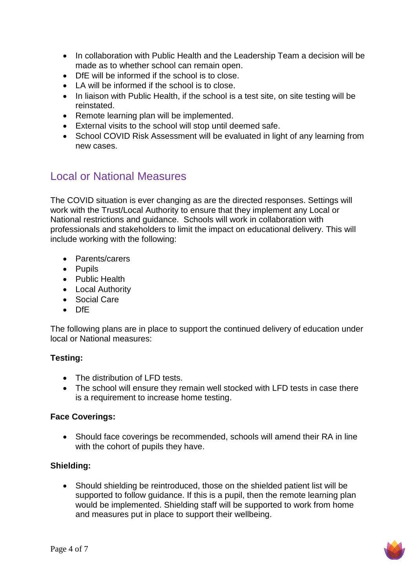- In collaboration with Public Health and the Leadership Team a decision will be made as to whether school can remain open.
- DfE will be informed if the school is to close.
- LA will be informed if the school is to close.
- In liaison with Public Health, if the school is a test site, on site testing will be reinstated.
- Remote learning plan will be implemented.
- External visits to the school will stop until deemed safe.
- School COVID Risk Assessment will be evaluated in light of any learning from new cases.

## Local or National Measures

The COVID situation is ever changing as are the directed responses. Settings will work with the Trust/Local Authority to ensure that they implement any Local or National restrictions and guidance. Schools will work in collaboration with professionals and stakeholders to limit the impact on educational delivery. This will include working with the following:

- Parents/carers
- Pupils
- Public Health
- Local Authority
- Social Care
- DfE

The following plans are in place to support the continued delivery of education under local or National measures:

### **Testing:**

- The distribution of LFD tests.
- The school will ensure they remain well stocked with LFD tests in case there is a requirement to increase home testing.

### **Face Coverings:**

• Should face coverings be recommended, schools will amend their RA in line with the cohort of pupils they have.

### **Shielding:**

 Should shielding be reintroduced, those on the shielded patient list will be supported to follow guidance. If this is a pupil, then the remote learning plan would be implemented. Shielding staff will be supported to work from home and measures put in place to support their wellbeing.

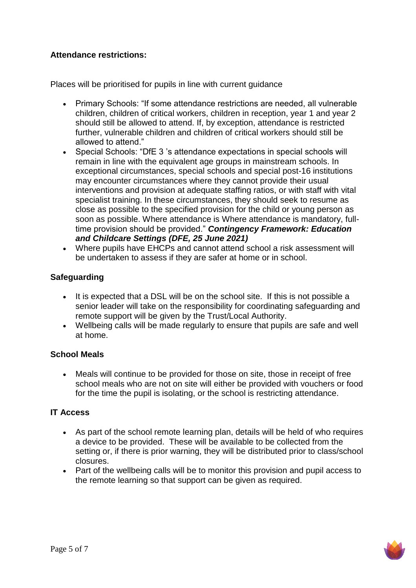### **Attendance restrictions:**

Places will be prioritised for pupils in line with current guidance

- Primary Schools: "If some attendance restrictions are needed, all vulnerable children, children of critical workers, children in reception, year 1 and year 2 should still be allowed to attend. If, by exception, attendance is restricted further, vulnerable children and children of critical workers should still be allowed to attend."
- Special Schools: "DfE 3 's attendance expectations in special schools will remain in line with the equivalent age groups in mainstream schools. In exceptional circumstances, special schools and special post-16 institutions may encounter circumstances where they cannot provide their usual interventions and provision at adequate staffing ratios, or with staff with vital specialist training. In these circumstances, they should seek to resume as close as possible to the specified provision for the child or young person as soon as possible. Where attendance is Where attendance is mandatory, fulltime provision should be provided." *Contingency Framework: Education and Childcare Settings (DFE, 25 June 2021)*
- Where pupils have EHCPs and cannot attend school a risk assessment will be undertaken to assess if they are safer at home or in school.

### **Safeguarding**

- It is expected that a DSL will be on the school site. If this is not possible a senior leader will take on the responsibility for coordinating safeguarding and remote support will be given by the Trust/Local Authority.
- Wellbeing calls will be made regularly to ensure that pupils are safe and well at home.

### **School Meals**

 Meals will continue to be provided for those on site, those in receipt of free school meals who are not on site will either be provided with vouchers or food for the time the pupil is isolating, or the school is restricting attendance.

### **IT Access**

- As part of the school remote learning plan, details will be held of who requires a device to be provided. These will be available to be collected from the setting or, if there is prior warning, they will be distributed prior to class/school closures.
- Part of the wellbeing calls will be to monitor this provision and pupil access to the remote learning so that support can be given as required.

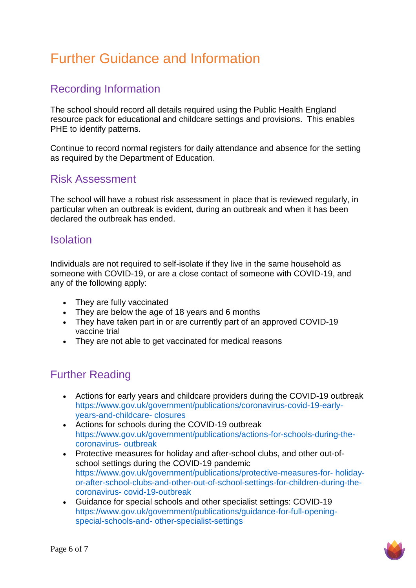# Further Guidance and Information

## Recording Information

The school should record all details required using the Public Health England resource pack for educational and childcare settings and provisions. This enables PHE to identify patterns.

Continue to record normal registers for daily attendance and absence for the setting as required by the Department of Education.

## Risk Assessment

The school will have a robust risk assessment in place that is reviewed regularly, in particular when an outbreak is evident, during an outbreak and when it has been declared the outbreak has ended.

### Isolation

Individuals are not required to self-isolate if they live in the same household as someone with COVID-19, or are a close contact of someone with COVID-19, and any of the following apply:

- They are fully vaccinated
- They are below the age of 18 years and 6 months
- They have taken part in or are currently part of an approved COVID-19 vaccine trial
- They are not able to get vaccinated for medical reasons

## Further Reading

- Actions for early years and childcare providers during the COVID-19 outbreak https://www.gov.uk/government/publications/coronavirus-covid-19-earlyyears-and-childcare- closures
- Actions for schools during the COVID-19 outbreak https://www.gov.uk/government/publications/actions-for-schools-during-thecoronavirus- outbreak
- Protective measures for holiday and after-school clubs, and other out-ofschool settings during the COVID-19 pandemic https://www.gov.uk/government/publications/protective-measures-for- holidayor-after-school-clubs-and-other-out-of-school-settings-for-children-during-thecoronavirus- covid-19-outbreak
- Guidance for special schools and other specialist settings: COVID-19 https://www.gov.uk/government/publications/guidance-for-full-openingspecial-schools-and- other-specialist-settings